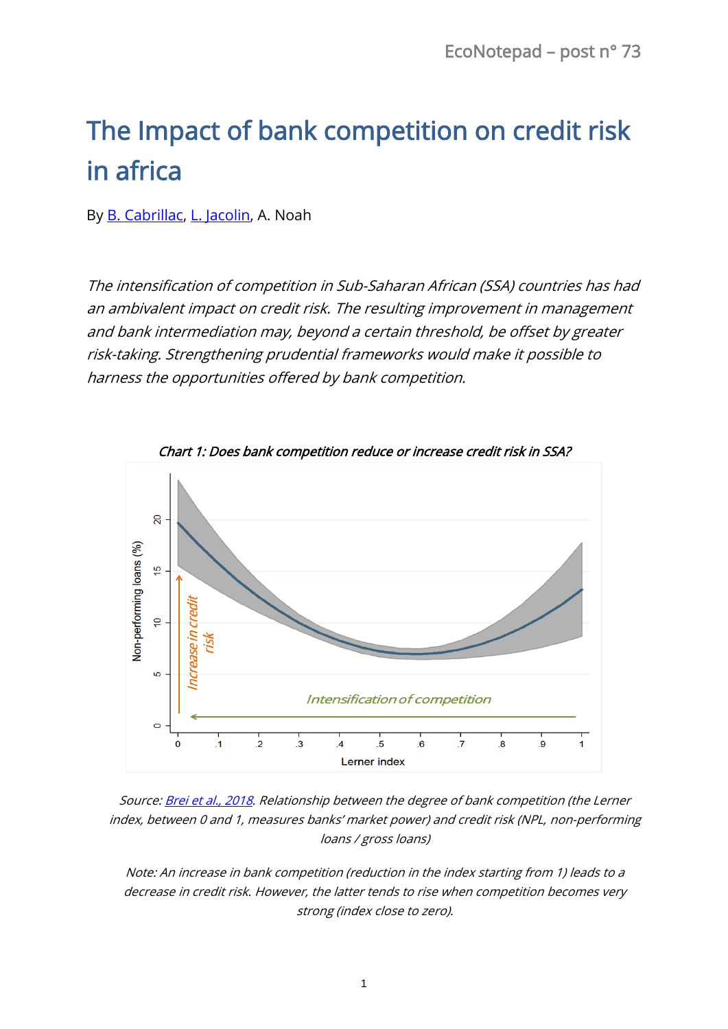## The Impact of bank competition on credit risk in africa

By **B. Cabrillac, L. Jacolin**, A. Noah

The intensification of competition in Sub-Saharan African (SSA) countries has had an ambivalent impact on credit risk. The resulting improvement in management and bank intermediation may, beyond a certain threshold, be offset by greater risk-taking. Strengthening prudential frameworks would make it possible to harness the opportunities offered by bank competition.



Chart 1: Does bank competition reduce or increase credit risk in SSA?

Source[: Brei et al., 2018.](https://www.banque-france.fr/sites/default/files/medias/documents/wp664_0.pdf) Relationship between the degree of bank competition (the Lerner index, between 0 and 1, measures banks' market power) and credit risk (NPL, non-performing loans / gross loans)

Note: An increase in bank competition (reduction in the index starting from 1) leads to a decrease in credit risk. However, the latter tends to rise when competition becomes very strong (index close to zero).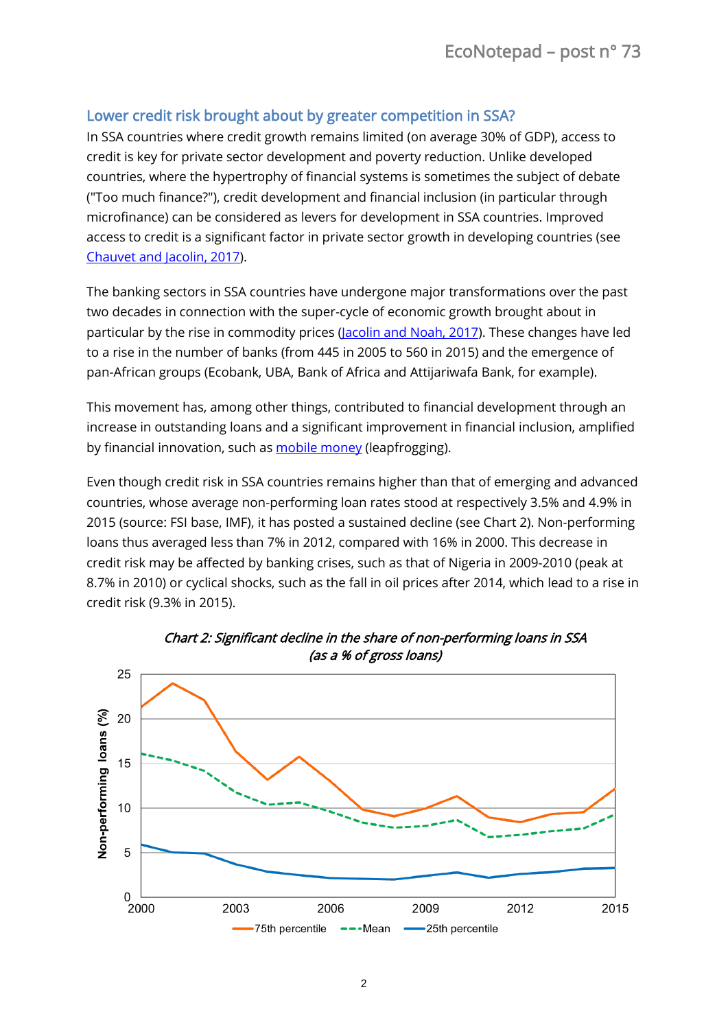## Lower credit risk brought about by greater competition in SSA?

In SSA countries where credit growth remains limited (on average 30% of GDP), access to credit is key for private sector development and poverty reduction. Unlike developed countries, where the hypertrophy of financial systems is sometimes the subject of debate ("Too much finance?"), credit development and financial inclusion (in particular through microfinance) can be considered as levers for development in SSA countries. Improved access to credit is a significant factor in private sector growth in developing countries (see [Chauvet and Jacolin, 2017\)](https://www.sciencedirect.com/science/article/pii/S0305750X17300803).

The banking sectors in SSA countries have undergone major transformations over the past two decades in connection with the super-cycle of economic growth brought about in particular by the rise in commodity prices [\(Jacolin and Noah, 2017\)](https://ideas.repec.org/a/bfr/quarte/20174705.html). These changes have led to a rise in the number of banks (from 445 in 2005 to 560 in 2015) and the emergence of pan-African groups (Ecobank, UBA, Bank of Africa and Attijariwafa Bank, for example).

This movement has, among other things, contributed to financial development through an increase in outstanding loans and a significant improvement in financial inclusion, amplified by financial innovation, such as [mobile money](http://www.csae.ox.ac.uk/materials/papers/csae-wps-2017-02.pdf) (leapfrogging).

Even though credit risk in SSA countries remains higher than that of emerging and advanced countries, whose average non-performing loan rates stood at respectively 3.5% and 4.9% in 2015 (source: FSI base, IMF), it has posted a sustained decline (see Chart 2). Non-performing loans thus averaged less than 7% in 2012, compared with 16% in 2000. This decrease in credit risk may be affected by banking crises, such as that of Nigeria in 2009-2010 (peak at 8.7% in 2010) or cyclical shocks, such as the fall in oil prices after 2014, which lead to a rise in credit risk (9.3% in 2015).

![](_page_1_Figure_6.jpeg)

Chart 2: Significant decline in the share of non-performing loans in SSA (as a % of gross loans)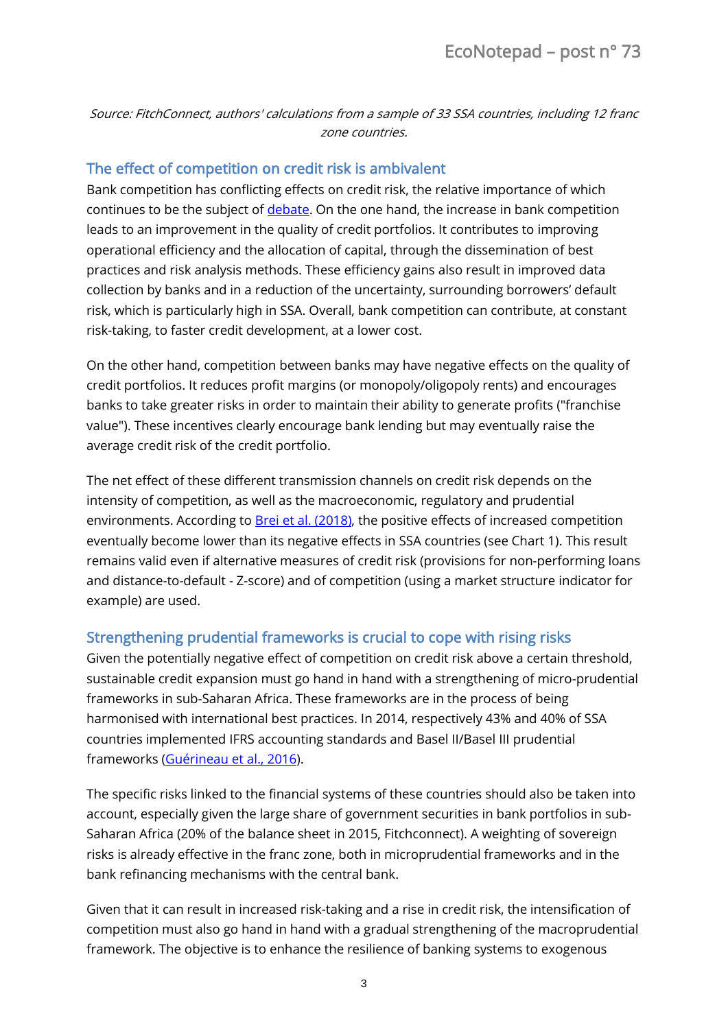Source: FitchConnect, authors' calculations from a sample of 33 SSA countries, including 12 franc zone countries.

## The effect of competition on credit risk is ambivalent

Bank competition has conflicting effects on credit risk, the relative importance of which continues to be the subject o[f debate.](https://onlinelibrary.wiley.com/doi/pdf/10.1111/joes.12131) On the one hand, the increase in bank competition leads to an improvement in the quality of credit portfolios. It contributes to improving operational efficiency and the allocation of capital, through the dissemination of best practices and risk analysis methods. These efficiency gains also result in improved data collection by banks and in a reduction of the uncertainty, surrounding borrowers' default risk, which is particularly high in SSA. Overall, bank competition can contribute, at constant risk-taking, to faster credit development, at a lower cost.

On the other hand, competition between banks may have negative effects on the quality of credit portfolios. It reduces profit margins (or monopoly/oligopoly rents) and encourages banks to take greater risks in order to maintain their ability to generate profits ("franchise value"). These incentives clearly encourage bank lending but may eventually raise the average credit risk of the credit portfolio.

The net effect of these different transmission channels on credit risk depends on the intensity of competition, as well as the macroeconomic, regulatory and prudential environments. According to **Brei et al. (2018)**, the positive effects of increased competition eventually become lower than its negative effects in SSA countries (see Chart 1). This result remains valid even if alternative measures of credit risk (provisions for non-performing loans and distance-to-default - Z-score) and of competition (using a market structure indicator for example) are used.

## Strengthening prudential frameworks is crucial to cope with rising risks

Given the potentially negative effect of competition on credit risk above a certain threshold, sustainable credit expansion must go hand in hand with a strengthening of micro-prudential frameworks in sub-Saharan Africa. These frameworks are in the process of being harmonised with international best practices. In 2014, respectively 43% and 40% of SSA countries implemented IFRS accounting standards and Basel II/Basel III prudential frameworks [\(Guérineau et al., 2016\)](http://www.ferdi.fr/sites/www.ferdi.fr/files/publication/fichiers/la_politique_macroprudentielle_dans_luemoa_fr-web.pdf).

The specific risks linked to the financial systems of these countries should also be taken into account, especially given the large share of government securities in bank portfolios in sub-Saharan Africa (20% of the balance sheet in 2015, Fitchconnect). A weighting of sovereign risks is already effective in the franc zone, both in microprudential frameworks and in the bank refinancing mechanisms with the central bank.

Given that it can result in increased risk-taking and a rise in credit risk, the intensification of competition must also go hand in hand with a gradual strengthening of the macroprudential framework. The objective is to enhance the resilience of banking systems to exogenous